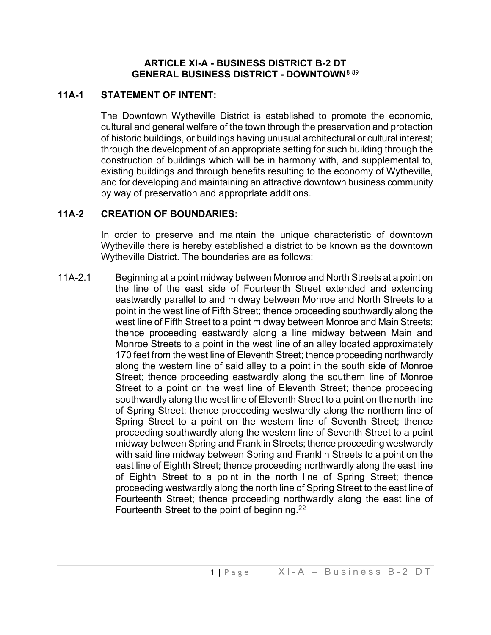### **ARTICLE XI-A - BUSINESS DISTRICT B-2 DT GENERAL BUSINESS DISTRICT - DOWNTOWN**[8](#page-8-0) [89](#page-8-1)

## **11A-1 STATEMENT OF INTENT:**

The Downtown Wytheville District is established to promote the economic, cultural and general welfare of the town through the preservation and protection of historic buildings, or buildings having unusual architectural or cultural interest; through the development of an appropriate setting for such building through the construction of buildings which will be in harmony with, and supplemental to, existing buildings and through benefits resulting to the economy of Wytheville, and for developing and maintaining an attractive downtown business community by way of preservation and appropriate additions.

## **11A-2 CREATION OF BOUNDARIES:**

In order to preserve and maintain the unique characteristic of downtown Wytheville there is hereby established a district to be known as the downtown Wytheville District. The boundaries are as follows:

11A-2.1 Beginning at a point midway between Monroe and North Streets at a point on the line of the east side of Fourteenth Street extended and extending eastwardly parallel to and midway between Monroe and North Streets to a point in the west line of Fifth Street; thence proceeding southwardly along the west line of Fifth Street to a point midway between Monroe and Main Streets; thence proceeding eastwardly along a line midway between Main and Monroe Streets to a point in the west line of an alley located approximately 170 feet from the west line of Eleventh Street; thence proceeding northwardly along the western line of said alley to a point in the south side of Monroe Street; thence proceeding eastwardly along the southern line of Monroe Street to a point on the west line of Eleventh Street; thence proceeding southwardly along the west line of Eleventh Street to a point on the north line of Spring Street; thence proceeding westwardly along the northern line of Spring Street to a point on the western line of Seventh Street; thence proceeding southwardly along the western line of Seventh Street to a point midway between Spring and Franklin Streets; thence proceeding westwardly with said line midway between Spring and Franklin Streets to a point on the east line of Eighth Street; thence proceeding northwardly along the east line of Eighth Street to a point in the north line of Spring Street; thence proceeding westwardly along the north line of Spring Street to the east line of Fourteenth Street; thence proceeding northwardly along the east line of Fourteenth Street to the point of beginning.<sup>[2](#page-8-2)2</sup>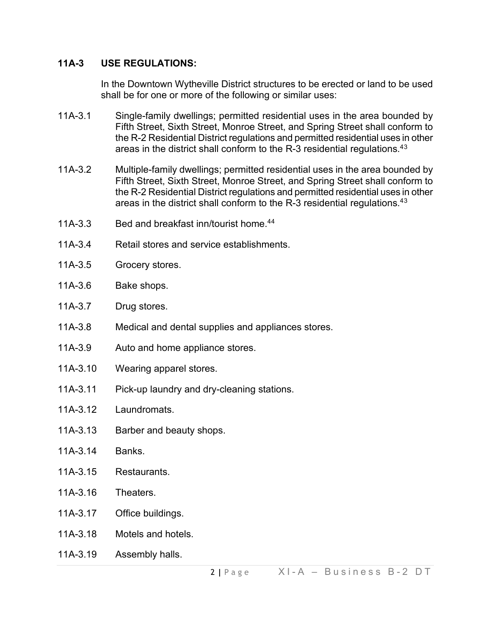### **11A-3 USE REGULATIONS:**

In the Downtown Wytheville District structures to be erected or land to be used shall be for one or more of the following or similar uses:

- 11A-3.1 Single-family dwellings; permitted residential uses in the area bounded by Fifth Street, Sixth Street, Monroe Street, and Spring Street shall conform to the R-2 Residential District regulations and permitted residential uses in other areas in the district shall conform to the R-[3](#page-8-3) residential regulations.<sup>43</sup>
- 11A-3.2 Multiple-family dwellings; permitted residential uses in the area bounded by Fifth Street, Sixth Street, Monroe Street, and Spring Street shall conform to the R-2 Residential District regulations and permitted residential uses in other areas in the district shall conform to the R-[3](#page-8-4) residential regulations.<sup>43</sup>
- 11A-3.3 Bed and breakfast inn/tourist home.<sup>[44](#page-8-5)</sup>
- 11A-3.4 Retail stores and service establishments.
- 11A-3.5 Grocery stores.
- 11A-3.6 Bake shops.
- 11A-3.7 Drug stores.
- 11A-3.8 Medical and dental supplies and appliances stores.
- 11A-3.9 Auto and home appliance stores.
- 11A-3.10 Wearing apparel stores.
- 11A-3.11 Pick-up laundry and dry-cleaning stations.
- 11A-3.12 Laundromats.
- 11A-3.13 Barber and beauty shops.
- 11A-3.14 Banks.
- 11A-3.15 Restaurants.
- 11A-3.16 Theaters.
- 11A-3.17 Office buildings.
- 11A-3.18 Motels and hotels.
- 11A-3.19 Assembly halls.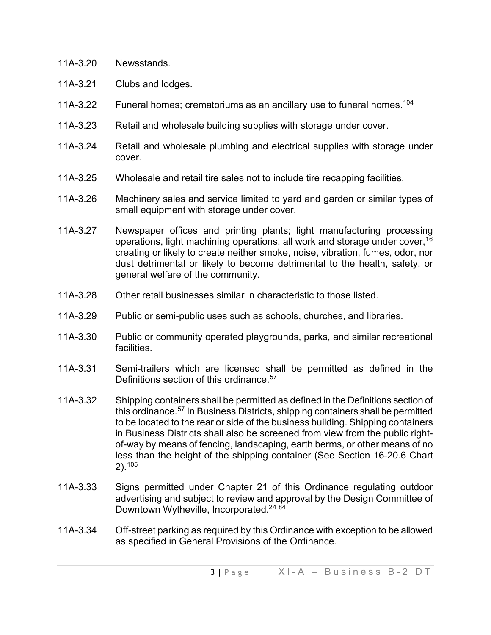- 11A-3.20 Newsstands.
- 11A-3.21 Clubs and lodges.
- 11A-3.22 Funeral homes; crematoriums as an ancillary use to funeral homes. [104](#page-8-6)
- 11A-3.23 Retail and wholesale building supplies with storage under cover.
- 11A-3.24 Retail and wholesale plumbing and electrical supplies with storage under cover.
- 11A-3.25 Wholesale and retail tire sales not to include tire recapping facilities.
- 11A-3.26 Machinery sales and service limited to yard and garden or similar types of small equipment with storage under cover.
- 11A-3.27 Newspaper offices and printing plants; light manufacturing processing operations, light machining operations, all work and storage under cover,<sup>[16](#page-8-7)</sup> creating or likely to create neither smoke, noise, vibration, fumes, odor, nor dust detrimental or likely to become detrimental to the health, safety, or general welfare of the community.
- 11A-3.28 Other retail businesses similar in characteristic to those listed.
- 11A-3.29 Public or semi-public uses such as schools, churches, and libraries.
- 11A-3.30 Public or community operated playgrounds, parks, and similar recreational facilities.
- 11A-3.31 Semi-trailers which are licensed shall be permitted as defined in the Definitions section of this ordinance.<sup>[57](#page-8-8)</sup>
- 11A-3.32 Shipping containers shall be permitted as defined in the Definitions section of this ordinance.<sup>[57](#page-8-9)</sup> In Business Districts, shipping containers shall be permitted to be located to the rear or side of the business building. Shipping containers in Business Districts shall also be screened from view from the public rightof-way by means of fencing, landscaping, earth berms, or other means of no less than the height of the shipping container (See Section 16-20.6 Chart 2).[105](#page-8-10)
- 11A-3.33 Signs permitted under Chapter 21 of this Ordinance regulating outdoor advertising and subject to review and approval by the Design Committee of Downtown Wytheville, Incorporated.<sup>2[4](#page-8-11) [84](#page-8-12)</sup>
- 11A-3.34 Off-street parking as required by this Ordinance with exception to be allowed as specified in General Provisions of the Ordinance.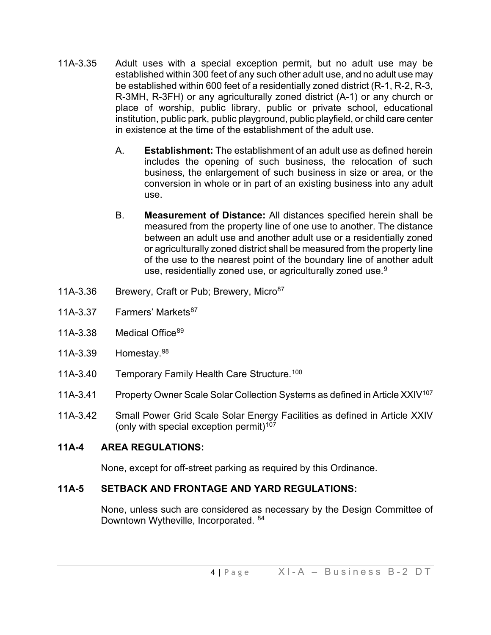- 11A-3.35 Adult uses with a special exception permit, but no adult use may be established within 300 feet of any such other adult use, and no adult use may be established within 600 feet of a residentially zoned district (R-1, R-2, R-3, R-3MH, R-3FH) or any agriculturally zoned district (A-1) or any church or place of worship, public library, public or private school, educational institution, public park, public playground, public playfield, or child care center in existence at the time of the establishment of the adult use.
	- A. **Establishment:** The establishment of an adult use as defined herein includes the opening of such business, the relocation of such business, the enlargement of such business in size or area, or the conversion in whole or in part of an existing business into any adult use.
	- B. **Measurement of Distance:** All distances specified herein shall be measured from the property line of one use to another. The distance between an adult use and another adult use or a residentially zoned or agriculturally zoned district shall be measured from the property line of the use to the nearest point of the boundary line of another adult use, residentially zoned use, or agriculturally zoned use.<sup>[9](#page-8-13)</sup>
- 11A-3.36 Brewery, Craft or Pub; Brewery, Micro<sup>87</sup>
- 11A-3.37 Farmers' Markets<sup>[87](#page-8-14)</sup>
- 11A-3.38 Medical Office<sup>[89](#page-8-15)</sup>
- 11A-3.39 Homestay.[98](#page-8-16)
- 11A-3.40 Temporary Family Health Care Structure.<sup>[100](#page-8-17)</sup>
- 11A-3.41 Property Owner Scale Solar Collection Systems as defined in Article XXIV<sup>[107](#page-8-18)</sup>
- 11A-3.42 Small Power Grid Scale Solar Energy Facilities as defined in Article XXIV (only with special exception permit)<sup>[107](#page-8-19)</sup>

# **11A-4 AREA REGULATIONS:**

None, except for off-street parking as required by this Ordinance.

# **11A-5 SETBACK AND FRONTAGE AND YARD REGULATIONS:**

None, unless such are considered as necessary by the Design Committee of Downtown Wytheville, Incorporated. [84](#page-8-20)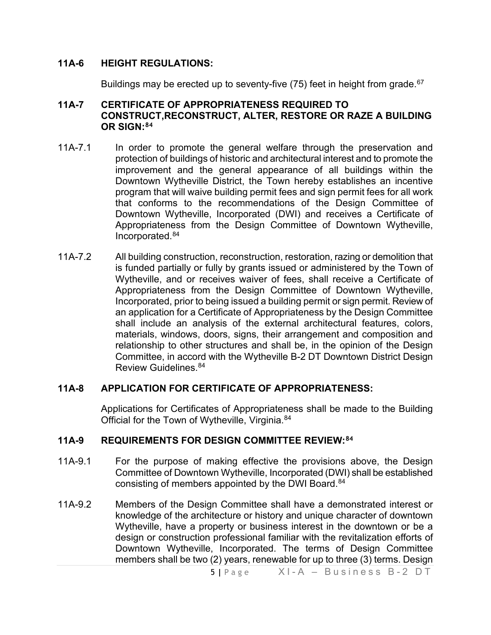### **11A-6 HEIGHT REGULATIONS:**

Buildings may be erected up to seventy-five (75) feet in height from grade.<sup>[67](#page-8-21)</sup>

#### **11A-7 CERTIFICATE OF APPROPRIATENESS REQUIRED TO CONSTRUCT,RECONSTRUCT, ALTER, RESTORE OR RAZE A BUILDING OR SIGN:[84](#page-8-22)**

- 11A-7.1 In order to promote the general welfare through the preservation and protection of buildings of historic and architectural interest and to promote the improvement and the general appearance of all buildings within the Downtown Wytheville District, the Town hereby establishes an incentive program that will waive building permit fees and sign permit fees for all work that conforms to the recommendations of the Design Committee of Downtown Wytheville, Incorporated (DWI) and receives a Certificate of Appropriateness from the Design Committee of Downtown Wytheville, Incorporated. [84](#page-8-23)
- 11A-7.2 All building construction, reconstruction, restoration, razing or demolition that is funded partially or fully by grants issued or administered by the Town of Wytheville, and or receives waiver of fees, shall receive a Certificate of Appropriateness from the Design Committee of Downtown Wytheville, Incorporated, prior to being issued a building permit or sign permit. Review of an application for a Certificate of Appropriateness by the Design Committee shall include an analysis of the external architectural features, colors, materials, windows, doors, signs, their arrangement and composition and relationship to other structures and shall be, in the opinion of the Design Committee, in accord with the Wytheville B-2 DT Downtown District Design Review Guidelines. [84](#page-8-24)

#### **11A-8 APPLICATION FOR CERTIFICATE OF APPROPRIATENESS:**

Applications for Certificates of Appropriateness shall be made to the Building Official for the Town of Wytheville, Virginia.<sup>84</sup>

#### **11A-9 REQUIREMENTS FOR DESIGN COMMITTEE REVIEW:[84](#page-8-26)**

- 11A-9.1 For the purpose of making effective the provisions above, the Design Committee of Downtown Wytheville, Incorporated (DWI) shall be established consisting of members appointed by the DWI Board.<sup>[84](#page-8-27)</sup>
- 11A-9.2 Members of the Design Committee shall have a demonstrated interest or knowledge of the architecture or history and unique character of downtown Wytheville, have a property or business interest in the downtown or be a design or construction professional familiar with the revitalization efforts of Downtown Wytheville, Incorporated. The terms of Design Committee members shall be two (2) years, renewable for up to three (3) terms. Design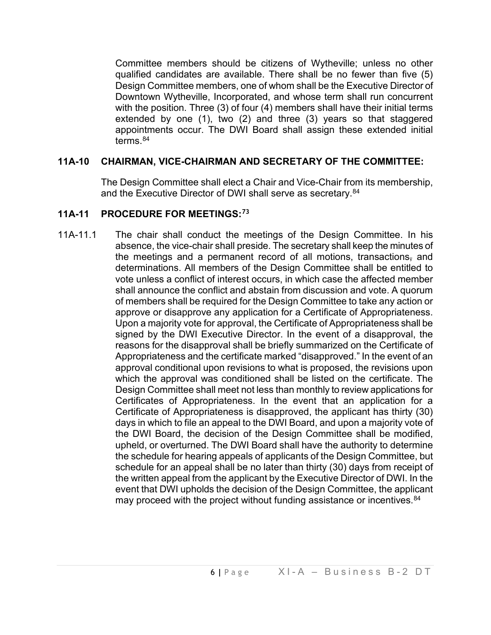Committee members should be citizens of Wytheville; unless no other qualified candidates are available. There shall be no fewer than five (5) Design Committee members, one of whom shall be the Executive Director of Downtown Wytheville, Incorporated, and whose term shall run concurrent with the position. Three (3) of four (4) members shall have their initial terms extended by one (1), two (2) and three (3) years so that staggered appointments occur. The DWI Board shall assign these extended initial terms.<sup>[84](#page-8-28)</sup>

### **11A-10 CHAIRMAN, VICE-CHAIRMAN AND SECRETARY OF THE COMMITTEE:**

The Design Committee shall elect a Chair and Vice-Chair from its membership, and the Executive Director of DWI shall serve as secretary.<sup>[84](#page-8-29)</sup>

## **11A-11 PROCEDURE FOR MEETINGS:[73](#page-8-30)**

11A-11.1 The chair shall conduct the meetings of the Design Committee. In his absence, the vice-chair shall preside. The secretary shall keep the minutes of the meetings and a permanent record of all motions, transactions, and determinations. All members of the Design Committee shall be entitled to vote unless a conflict of interest occurs, in which case the affected member shall announce the conflict and abstain from discussion and vote. A quorum of members shall be required for the Design Committee to take any action or approve or disapprove any application for a Certificate of Appropriateness. Upon a majority vote for approval, the Certificate of Appropriateness shall be signed by the DWI Executive Director. In the event of a disapproval, the reasons for the disapproval shall be briefly summarized on the Certificate of Appropriateness and the certificate marked "disapproved." In the event of an approval conditional upon revisions to what is proposed, the revisions upon which the approval was conditioned shall be listed on the certificate. The Design Committee shall meet not less than monthly to review applications for Certificates of Appropriateness. In the event that an application for a Certificate of Appropriateness is disapproved, the applicant has thirty (30) days in which to file an appeal to the DWI Board, and upon a majority vote of the DWI Board, the decision of the Design Committee shall be modified, upheld, or overturned. The DWI Board shall have the authority to determine the schedule for hearing appeals of applicants of the Design Committee, but schedule for an appeal shall be no later than thirty (30) days from receipt of the written appeal from the applicant by the Executive Director of DWI. In the event that DWI upholds the decision of the Design Committee, the applicant may proceed with the project without funding assistance or incentives.<sup>[84](#page-8-31)</sup>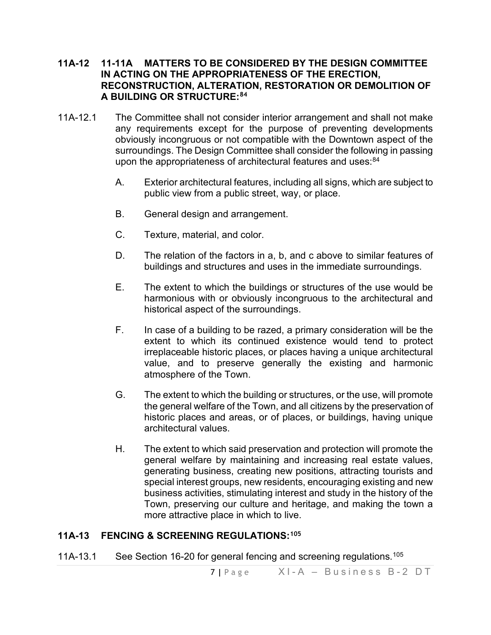#### **11A-12 11-11A MATTERS TO BE CONSIDERED BY THE DESIGN COMMITTEE IN ACTING ON THE APPROPRIATENESS OF THE ERECTION, RECONSTRUCTION, ALTERATION, RESTORATION OR DEMOLITION OF A BUILDING OR STRUCTURE:[84](#page-8-32)**

- 11A-12.1 The Committee shall not consider interior arrangement and shall not make any requirements except for the purpose of preventing developments obviously incongruous or not compatible with the Downtown aspect of the surroundings. The Design Committee shall consider the following in passing upon the appropriateness of architectural features and uses:<sup>[84](#page-8-33)</sup>
	- A. Exterior architectural features, including all signs, which are subject to public view from a public street, way, or place.
	- B. General design and arrangement.
	- C. Texture, material, and color.
	- D. The relation of the factors in a, b, and c above to similar features of buildings and structures and uses in the immediate surroundings.
	- E. The extent to which the buildings or structures of the use would be harmonious with or obviously incongruous to the architectural and historical aspect of the surroundings.
	- F. In case of a building to be razed, a primary consideration will be the extent to which its continued existence would tend to protect irreplaceable historic places, or places having a unique architectural value, and to preserve generally the existing and harmonic atmosphere of the Town.
	- G. The extent to which the building or structures, or the use, will promote the general welfare of the Town, and all citizens by the preservation of historic places and areas, or of places, or buildings, having unique architectural values.
	- H. The extent to which said preservation and protection will promote the general welfare by maintaining and increasing real estate values, generating business, creating new positions, attracting tourists and special interest groups, new residents, encouraging existing and new business activities, stimulating interest and study in the history of the Town, preserving our culture and heritage, and making the town a more attractive place in which to live.

### **11A-13 FENCING & SCREENING REGULATIONS:[105](#page-8-34)**

11A-13.1 See Section 16-20 for general fencing and screening regulations.<sup>[105](#page-8-35)</sup>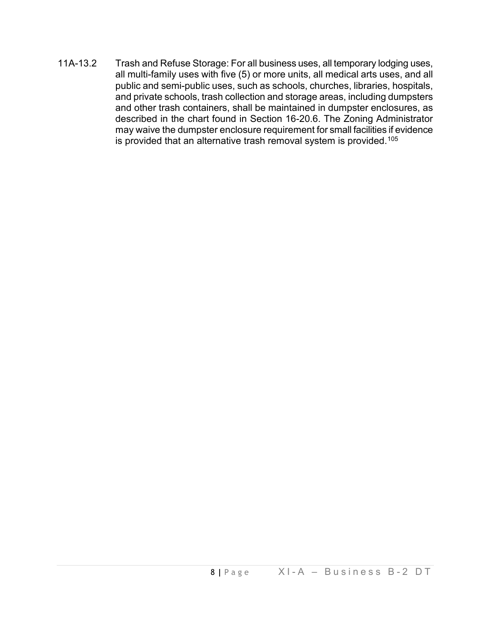11A-13.2 Trash and Refuse Storage: For all business uses, all temporary lodging uses, all multi-family uses with five (5) or more units, all medical arts uses, and all public and semi-public uses, such as schools, churches, libraries, hospitals, and private schools, trash collection and storage areas, including dumpsters and other trash containers, shall be maintained in dumpster enclosures, as described in the chart found in Section 16-20.6. The Zoning Administrator may waive the dumpster enclosure requirement for small facilities if evidence is provided that an alternative trash removal system is provided.<sup>[105](#page-8-36)</sup>